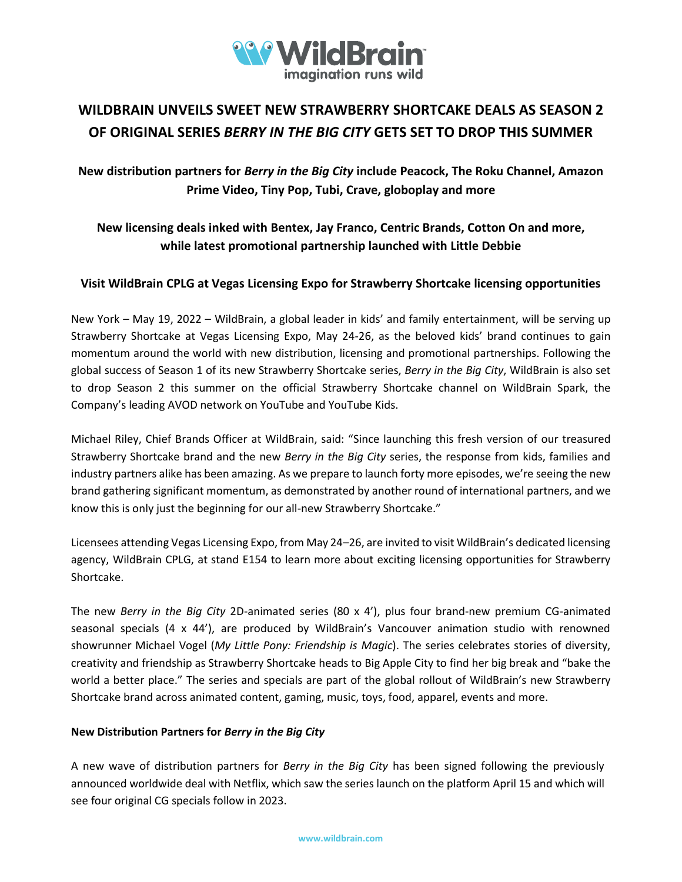

# **WILDBRAIN UNVEILS SWEET NEW STRAWBERRY SHORTCAKE DEALS AS SEASON 2 OF ORIGINAL SERIES** *BERRY IN THE BIG CITY* **GETS SET TO DROP THIS SUMMER**

## **New distribution partners for** *Berry in the Big City* **include Peacock, The Roku Channel, Amazon Prime Video, Tiny Pop, Tubi, Crave, globoplay and more**

## **New licensing deals inked with Bentex, Jay Franco, Centric Brands, Cotton On and more, while latest promotional partnership launched with Little Debbie**

### **Visit WildBrain CPLG at Vegas Licensing Expo for Strawberry Shortcake licensing opportunities**

New York – May 19, 2022 – WildBrain, a global leader in kids' and family entertainment, will be serving up Strawberry Shortcake at Vegas Licensing Expo, May 24-26, as the beloved kids' brand continues to gain momentum around the world with new distribution, licensing and promotional partnerships. Following the global success of Season 1 of its new Strawberry Shortcake series, *Berry in the Big City*, WildBrain is also set to drop Season 2 this summer on the official Strawberry Shortcake channel on WildBrain Spark, the Company's leading AVOD network on YouTube and YouTube Kids.

Michael Riley, Chief Brands Officer at WildBrain, said: "Since launching this fresh version of our treasured Strawberry Shortcake brand and the new *Berry in the Big City* series, the response from kids, families and industry partners alike has been amazing. As we prepare to launch forty more episodes, we're seeing the new brand gathering significant momentum, as demonstrated by another round of international partners, and we know this is only just the beginning for our all-new Strawberry Shortcake."

Licensees attending Vegas Licensing Expo, from May 24–26, are invited to visit WildBrain's dedicated licensing agency, WildBrain CPLG, at stand E154 to learn more about exciting licensing opportunities for Strawberry Shortcake.

The new *Berry in the Big City* 2D-animated series (80 x 4'), plus four brand-new premium CG-animated seasonal specials (4 x 44'), are produced by WildBrain's Vancouver animation studio with renowned showrunner Michael Vogel (*My Little Pony: Friendship is Magic*). The series celebrates stories of diversity, creativity and friendship as Strawberry Shortcake heads to Big Apple City to find her big break and "bake the world a better place." The series and specials are part of the global rollout of WildBrain's new Strawberry Shortcake brand across animated content, gaming, music, toys, food, apparel, events and more.

### **New Distribution Partners for** *Berry in the Big City*

A new wave of distribution partners for *Berry in the Big City* has been signed following the previously announced worldwide deal with Netflix, which saw the series launch on the platform April 15 and which will see four original CG specials follow in 2023.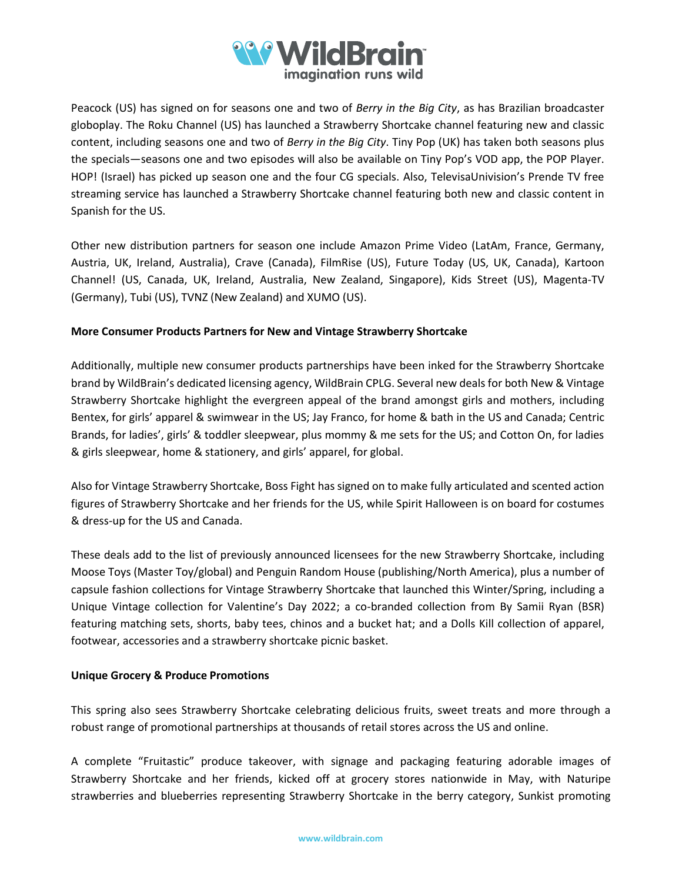

Peacock (US) has signed on for seasons one and two of *Berry in the Big City*, as has Brazilian broadcaster globoplay. The Roku Channel (US) has launched a Strawberry Shortcake channel featuring new and classic content, including seasons one and two of *Berry in the Big City*. Tiny Pop (UK) has taken both seasons plus the specials—seasons one and two episodes will also be available on Tiny Pop's VOD app, the POP Player. HOP! (Israel) has picked up season one and the four CG specials. Also, TelevisaUnivision's Prende TV free streaming service has launched a Strawberry Shortcake channel featuring both new and classic content in Spanish for the US.

Other new distribution partners for season one include Amazon Prime Video (LatAm, France, Germany, Austria, UK, Ireland, Australia), Crave (Canada), FilmRise (US), Future Today (US, UK, Canada), Kartoon Channel! (US, Canada, UK, Ireland, Australia, New Zealand, Singapore), Kids Street (US), Magenta-TV (Germany), Tubi (US), TVNZ (New Zealand) and XUMO (US).

#### **More Consumer Products Partners for New and Vintage Strawberry Shortcake**

Additionally, multiple new consumer products partnerships have been inked for the Strawberry Shortcake brand by WildBrain's dedicated licensing agency, WildBrain CPLG. Several new deals for both New & Vintage Strawberry Shortcake highlight the evergreen appeal of the brand amongst girls and mothers, including Bentex, for girls' apparel & swimwear in the US; Jay Franco, for home & bath in the US and Canada; Centric Brands, for ladies', girls' & toddler sleepwear, plus mommy & me sets for the US; and Cotton On, for ladies & girls sleepwear, home & stationery, and girls' apparel, for global.

Also for Vintage Strawberry Shortcake, Boss Fight has signed on to make fully articulated and scented action figures of Strawberry Shortcake and her friends for the US, while Spirit Halloween is on board for costumes & dress-up for the US and Canada.

These deals add to the list of previously announced licensees for the new Strawberry Shortcake, including Moose Toys (Master Toy/global) and Penguin Random House (publishing/North America), plus a number of capsule fashion collections for Vintage Strawberry Shortcake that launched this Winter/Spring, including a Unique Vintage collection for Valentine's Day 2022; a co-branded collection from By Samii Ryan (BSR) featuring matching sets, shorts, baby tees, chinos and a bucket hat; and a Dolls Kill collection of apparel, footwear, accessories and a strawberry shortcake picnic basket.

#### **Unique Grocery & Produce Promotions**

This spring also sees Strawberry Shortcake celebrating delicious fruits, sweet treats and more through a robust range of promotional partnerships at thousands of retail stores across the US and online.

A complete "Fruitastic" produce takeover, with signage and packaging featuring adorable images of Strawberry Shortcake and her friends, kicked off at grocery stores nationwide in May, with Naturipe strawberries and blueberries representing Strawberry Shortcake in the berry category, Sunkist promoting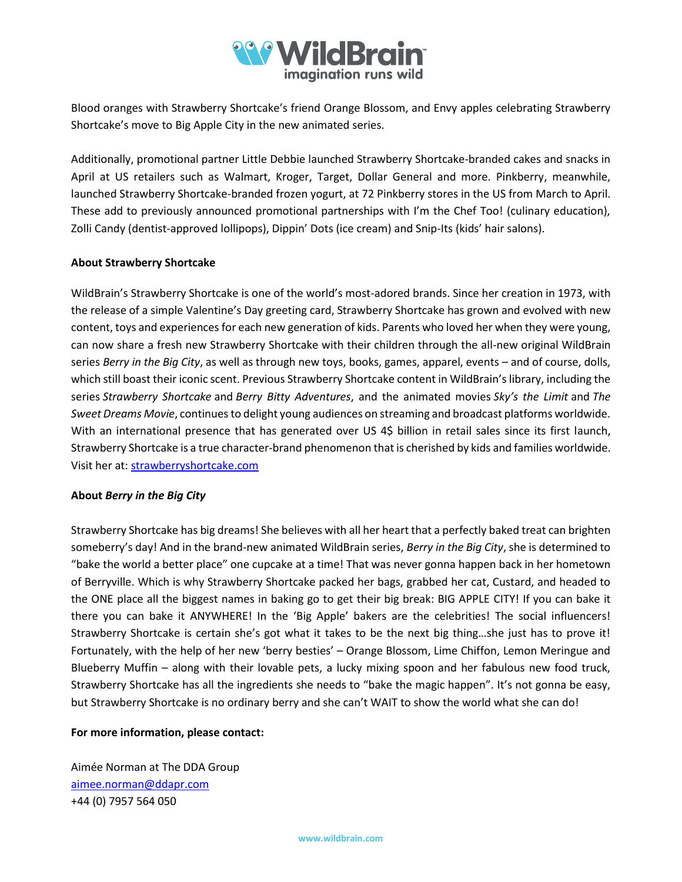

Blood oranges with Strawberry Shortcake's friend Orange Blossom, and Envy apples celebrating Strawberry Shortcake's move to Big Apple City in the new animated series.

Additionally, promotional partner Little Debbie launched Strawberry Shortcake-branded cakes and snacks in April at US retailers such as Walmart, Kroger, Target, Dollar General and more. Pinkberry, meanwhile, launched Strawberry Shortcake-branded frozen yogurt, at 72 Pinkberry stores in the US from March to April. These add to previously announced promotional partnerships with I'm the Chef Too! (culinary education), Zolli Candy (dentist-approved lollipops), Dippin' Dots (ice cream) and Snip-Its (kids' hair salons).

#### **About Strawberry Shortcake**

WildBrain's Strawberry Shortcake is one of the world's most-adored brands. Since her creation in 1973, with the release of a simple Valentine's Day greeting card, Strawberry Shortcake has grown and evolved with new content, toys and experiences for each new generation of kids. Parents who loved her when they were young, can now share a fresh new Strawberry Shortcake with their children through the all-new original WildBrain series *Berry in the Big City*, as well as through new toys, books, games, apparel, events – and of course, dolls, which still boast their iconic scent. Previous Strawberry Shortcake content in WildBrain's library, including the series *Strawberry Shortcake* and *Berry Bitty Adventures*, and the animated movies *Sky's the Limit* and *The Sweet Dreams Movie*, continues to delight young audiences on streaming and broadcast platforms worldwide. With an international presence that has generated over US 4\$ billion in retail sales since its first launch, Strawberry Shortcake is a true character-brand phenomenon that is cherished by kids and families worldwide. Visit her at[: strawberryshortcake.com](https://www.strawberryshortcake.com/)

#### **About** *Berry in the Big City*

Strawberry Shortcake has big dreams! She believes with all her heart that a perfectly baked treat can brighten someberry's day! And in the brand-new animated WildBrain series, *Berry in the Big City*, she is determined to "bake the world a better place" one cupcake at a time! That was never gonna happen back in her hometown of Berryville. Which is why Strawberry Shortcake packed her bags, grabbed her cat, Custard, and headed to the ONE place all the biggest names in baking go to get their big break: BIG APPLE CITY! If you can bake it there you can bake it ANYWHERE! In the 'Big Apple' bakers are the celebrities! The social influencers! Strawberry Shortcake is certain she's got what it takes to be the next big thing…she just has to prove it! Fortunately, with the help of her new 'berry besties' – Orange Blossom, Lime Chiffon, Lemon Meringue and Blueberry Muffin – along with their lovable pets, a lucky mixing spoon and her fabulous new food truck, Strawberry Shortcake has all the ingredients she needs to "bake the magic happen". It's not gonna be easy, but Strawberry Shortcake is no ordinary berry and she can't WAIT to show the world what she can do!

#### **For more information, please contact:**

Aimée Norman at The DDA Group [aimee.norman@ddapr.com](mailto:aimee.norman@ddapr.com) +44 (0) 7957 564 050